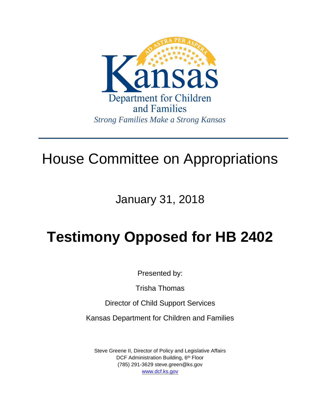

## House Committee on Appropriations

January 31, 2018

# **Testimony Opposed for HB 2402**

Presented by:

Trisha Thomas

Director of Child Support Services

Kansas Department for Children and Families

Steve Greene II, Director of Policy and Legislative Affairs DCF Administration Building, 6<sup>th</sup> Floor (785) 291-3629 steve.green@ks.gov [www.dcf.ks.gov](http://www.dcf.ks.gov/)